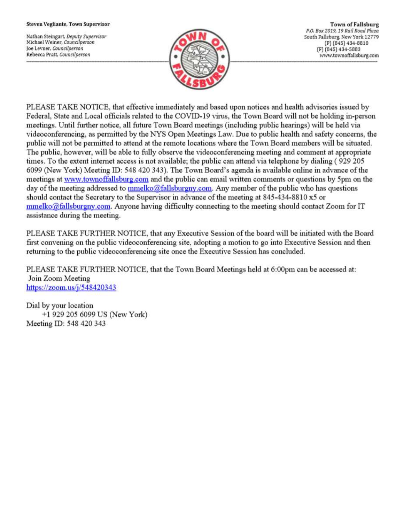#### Steven Vegliante, Town Supervisor

Nathan Steingart, Deputy Supervisor Michael Weiner, Councilperson Joe Levner, Councilperson Rebecca Pratt, Councilperson



**Town of Fallsburg** P.O. Box 2019, 19 Rail Road Plaza South Fallsburg, New York 12779 (P) (845) 434-8810 (F) (845) 434-5883 www.townoffallsburg.com

PLEASE TAKE NOTICE, that effective immediately and based upon notices and health advisories issued by Federal, State and Local officials related to the COVID-19 virus, the Town Board will not be holding in-person meetings. Until further notice, all future Town Board meetings (including public hearings) will be held via videoconferencing, as permitted by the NYS Open Meetings Law. Due to public health and safety concerns, the public will not be permitted to attend at the remote locations where the Town Board members will be situated. The public, however, will be able to fully observe the videoconferencing meeting and comment at appropriate times. To the extent internet access is not available; the public can attend via telephone by dialing (929 205 6099 (New York) Meeting ID: 548 420 343). The Town Board's agenda is available online in advance of the meetings at www.townoffallsburg.com and the public can email written comments or questions by 5pm on the day of the meeting addressed to mmelko@fallsburgny.com. Any member of the public who has questions should contact the Secretary to the Supervisor in advance of the meeting at 845-434-8810 x5 or  $mmelko@fallsburgny.com$ . Anyone having difficulty connecting to the meeting should contact Zoom for IT assistance during the meeting.

PLEASE TAKE FURTHER NOTICE, that any Executive Session of the board will be initiated with the Board first convening on the public videoconferencing site, adopting a motion to go into Executive Session and then returning to the public videoconferencing site once the Executive Session has concluded.

PLEASE TAKE FURTHER NOTICE, that the Town Board Meetings held at 6:00pm can be accessed at: Join Zoom Meeting https://zoom.us/ $j/548420343$ 

Dial by your location +1 929 205 6099 US (New York) Meeting ID: 548 420 343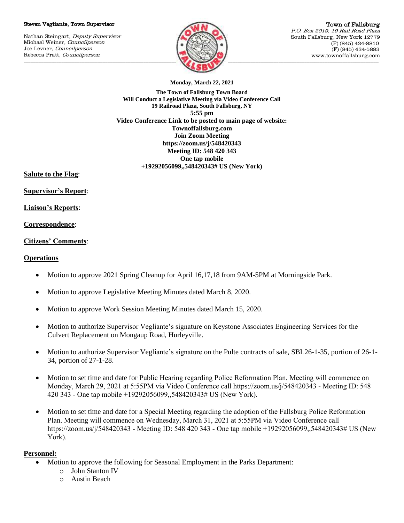#### Steven Vegliante, Town Supervisor

Nathan Steingart, Deputy Supervisor Michael Weiner, Councilperson Joe Levner, Councilperson Rebecca Pratt, Councilperson



Town of Fallsburg P.O. Box 2019, 19 Rail Road Plaza South Fallsburg, New York 12779 (P) (845) 434-8810 (F) (845) 434-5883 www.townoffallsburg.com

**Monday, March 22, 2021**

**The Town of Fallsburg Town Board Will Conduct a Legislative Meeting via Video Conference Call 19 Railroad Plaza, South Fallsburg, NY 5:55 pm Video Conference Link to be posted to main page of website: Townoffallsburg.com Join Zoom Meeting https://zoom.us/j/548420343 Meeting ID: 548 420 343 One tap mobile +19292056099,,548420343# US (New York)**

**Salute to the Flag**:

**Supervisor's Report**:

**Liaison's Reports**:

## **Correspondence**:

## **Citizens' Comments**:

## **Operations**

- Motion to approve 2021 Spring Cleanup for April 16,17,18 from 9AM-5PM at Morningside Park.
- Motion to approve Legislative Meeting Minutes dated March 8, 2020.
- Motion to approve Work Session Meeting Minutes dated March 15, 2020.
- Motion to authorize Supervisor Vegliante's signature on Keystone Associates Engineering Services for the Culvert Replacement on Mongaup Road, Hurleyville.
- Motion to authorize Supervisor Vegliante's signature on the Pulte contracts of sale, SBL26-1-35, portion of 26-1- 34, portion of 27-1-28.
- Motion to set time and date for Public Hearing regarding Police Reformation Plan. Meeting will commence on Monday, March 29, 2021 at 5:55PM via Video Conference call https://zoom.us/j/548420343 - Meeting ID: 548 420 343 - One tap mobile +19292056099,,548420343# US (New York).
- Motion to set time and date for a Special Meeting regarding the adoption of the Fallsburg Police Reformation Plan. Meeting will commence on Wednesday, March 31, 2021 at 5:55PM via Video Conference call https://zoom.us/j/548420343 - Meeting ID: 548 420 343 - One tap mobile +19292056099,,548420343# US (New York).

# **Personnel:**

- Motion to approve the following for Seasonal Employment in the Parks Department:
	- o John Stanton IV
	- o Austin Beach